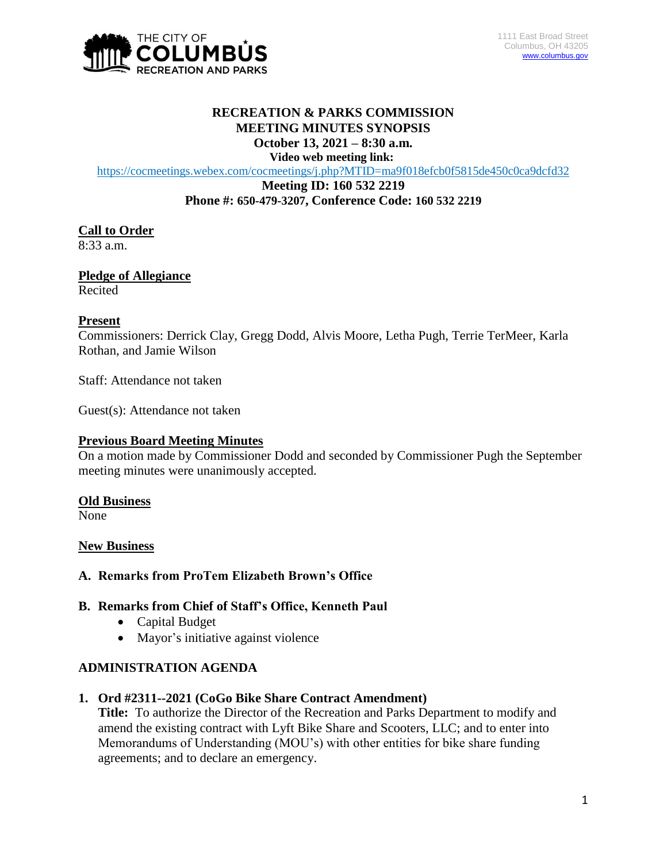

## **RECREATION & PARKS COMMISSION MEETING MINUTES SYNOPSIS October 13, 2021 – 8:30 a.m.**

**Video web meeting link:**

<https://cocmeetings.webex.com/cocmeetings/j.php?MTID=ma9f018efcb0f5815de450c0ca9dcfd32>

**Meeting ID: 160 532 2219 Phone #: 650-479-3207, Conference Code: 160 532 2219**

# **Call to Order**

8:33 a.m.

**Pledge of Allegiance** Recited

# **Present**

Commissioners: Derrick Clay, Gregg Dodd, Alvis Moore, Letha Pugh, Terrie TerMeer, Karla Rothan, and Jamie Wilson

Staff: Attendance not taken

Guest(s): Attendance not taken

# **Previous Board Meeting Minutes**

On a motion made by Commissioner Dodd and seconded by Commissioner Pugh the September meeting minutes were unanimously accepted.

# **Old Business**

None

# **New Business**

# **A. Remarks from ProTem Elizabeth Brown's Office**

# **B. Remarks from Chief of Staff's Office, Kenneth Paul**

- Capital Budget
- Mayor's initiative against violence

# **ADMINISTRATION AGENDA**

# **1. Ord #2311--2021 (CoGo Bike Share Contract Amendment)**

**Title:** To authorize the Director of the Recreation and Parks Department to modify and amend the existing contract with Lyft Bike Share and Scooters, LLC; and to enter into Memorandums of Understanding (MOU's) with other entities for bike share funding agreements; and to declare an emergency.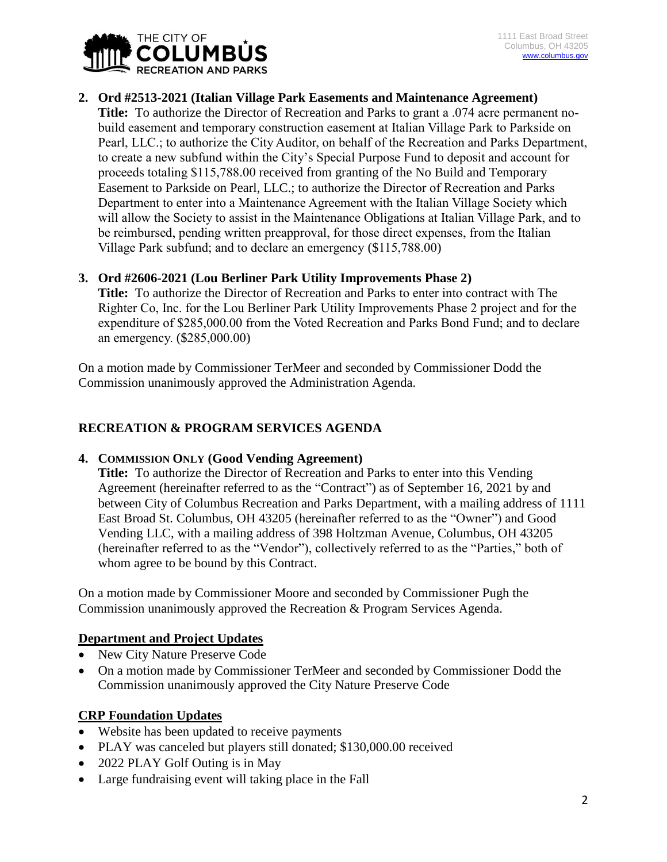

# **2. Ord #2513-2021 (Italian Village Park Easements and Maintenance Agreement)**

**Title:** To authorize the Director of Recreation and Parks to grant a .074 acre permanent nobuild easement and temporary construction easement at Italian Village Park to Parkside on Pearl, LLC.; to authorize the City Auditor, on behalf of the Recreation and Parks Department, to create a new subfund within the City's Special Purpose Fund to deposit and account for proceeds totaling \$115,788.00 received from granting of the No Build and Temporary Easement to Parkside on Pearl, LLC.; to authorize the Director of Recreation and Parks Department to enter into a Maintenance Agreement with the Italian Village Society which will allow the Society to assist in the Maintenance Obligations at Italian Village Park, and to be reimbursed, pending written preapproval, for those direct expenses, from the Italian Village Park subfund; and to declare an emergency (\$115,788.00)

# **3. Ord #2606-2021 (Lou Berliner Park Utility Improvements Phase 2)**

**Title:** To authorize the Director of Recreation and Parks to enter into contract with The Righter Co, Inc. for the Lou Berliner Park Utility Improvements Phase 2 project and for the expenditure of \$285,000.00 from the Voted Recreation and Parks Bond Fund; and to declare an emergency. (\$285,000.00)

On a motion made by Commissioner TerMeer and seconded by Commissioner Dodd the Commission unanimously approved the Administration Agenda.

# **RECREATION & PROGRAM SERVICES AGENDA**

# **4. COMMISSION ONLY (Good Vending Agreement)**

**Title:** To authorize the Director of Recreation and Parks to enter into this Vending Agreement (hereinafter referred to as the "Contract") as of September 16, 2021 by and between City of Columbus Recreation and Parks Department, with a mailing address of 1111 East Broad St. Columbus, OH 43205 (hereinafter referred to as the "Owner") and Good Vending LLC, with a mailing address of 398 Holtzman Avenue, Columbus, OH 43205 (hereinafter referred to as the "Vendor"), collectively referred to as the "Parties," both of whom agree to be bound by this Contract.

On a motion made by Commissioner Moore and seconded by Commissioner Pugh the Commission unanimously approved the Recreation & Program Services Agenda.

# **Department and Project Updates**

- New City Nature Preserve Code
- On a motion made by Commissioner TerMeer and seconded by Commissioner Dodd the Commission unanimously approved the City Nature Preserve Code

# **CRP Foundation Updates**

- Website has been updated to receive payments
- PLAY was canceled but players still donated; \$130,000.00 received
- 2022 PLAY Golf Outing is in May
- Large fundraising event will taking place in the Fall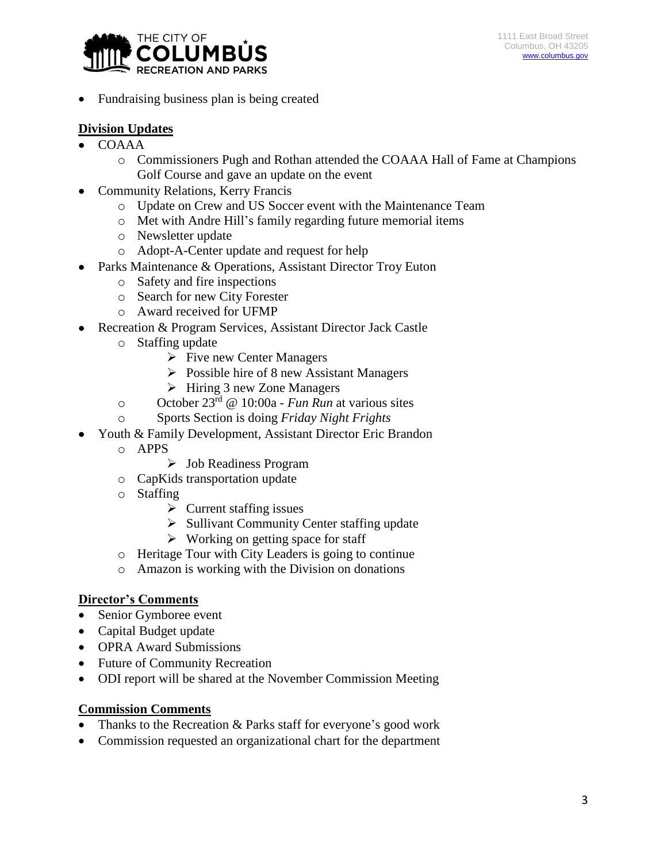

Fundraising business plan is being created

# **Division Updates**

- COAAA
	- o Commissioners Pugh and Rothan attended the COAAA Hall of Fame at Champions Golf Course and gave an update on the event
- Community Relations, Kerry Francis
	- o Update on Crew and US Soccer event with the Maintenance Team
	- o Met with Andre Hill's family regarding future memorial items
	- o Newsletter update
	- o Adopt-A-Center update and request for help
- Parks Maintenance & Operations, Assistant Director Troy Euton
	- o Safety and fire inspections
	- o Search for new City Forester
	- o Award received for UFMP
- Recreation & Program Services, Assistant Director Jack Castle
	- o Staffing update
		- $\triangleright$  Five new Center Managers
		- $\triangleright$  Possible hire of 8 new Assistant Managers
		- $\triangleright$  Hiring 3 new Zone Managers
	- o October 23rd @ 10:00a *Fun Run* at various sites
	- o Sports Section is doing *Friday Night Frights*
- Youth & Family Development, Assistant Director Eric Brandon
	- o APPS
		- Job Readiness Program
	- o CapKids transportation update
	- o Staffing
		- $\triangleright$  Current staffing issues
		- $\triangleright$  Sullivant Community Center staffing update
		- $\triangleright$  Working on getting space for staff
	- o Heritage Tour with City Leaders is going to continue
	- o Amazon is working with the Division on donations

# **Director's Comments**

- Senior Gymboree event
- Capital Budget update
- OPRA Award Submissions
- Future of Community Recreation
- ODI report will be shared at the November Commission Meeting

# **Commission Comments**

- Thanks to the Recreation & Parks staff for everyone's good work
- Commission requested an organizational chart for the department